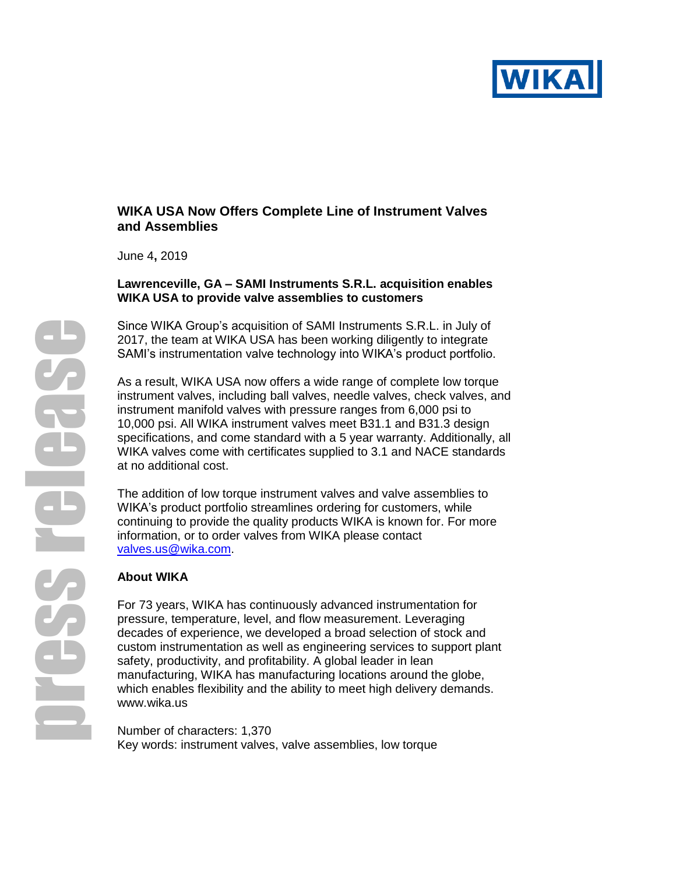

# **WIKA USA Now Offers Complete Line of Instrument Valves and Assemblies**

June 4**,** 2019

# **Lawrenceville, GA – SAMI Instruments S.R.L. acquisition enables WIKA USA to provide valve assemblies to customers**

Since WIKA Group's acquisition of SAMI Instruments S.R.L. in July of 2017, the team at WIKA USA has been working diligently to integrate SAMI's instrumentation valve technology into WIKA's product portfolio.

As a result, WIKA USA now offers a wide range of complete low torque instrument valves, including ball valves, needle valves, check valves, and instrument manifold valves with pressure ranges from 6,000 psi to 10,000 psi. All WIKA instrument valves meet B31.1 and B31.3 design specifications, and come standard with a 5 year warranty. Additionally, all WIKA valves come with certificates supplied to 3.1 and NACE standards at no additional cost.

The addition of low torque instrument valves and valve assemblies to WIKA's product portfolio streamlines ordering for customers, while continuing to provide the quality products WIKA is known for. For more information, or to order valves from WIKA please contact [valves.us@wika.com.](mailto:valves.us@wika.com)

# **About WIKA**

For 73 years, WIKA has continuously advanced instrumentation for pressure, temperature, level, and flow measurement. Leveraging decades of experience, we developed a broad selection of stock and custom instrumentation as well as engineering services to support plant safety, productivity, and profitability. A global leader in lean manufacturing, WIKA has manufacturing locations around the globe, which enables flexibility and the ability to meet high delivery demands. [www.wika.us](http://www.wika.us/)

Number of characters: 1,370 Key words: instrument valves, valve assemblies, low torque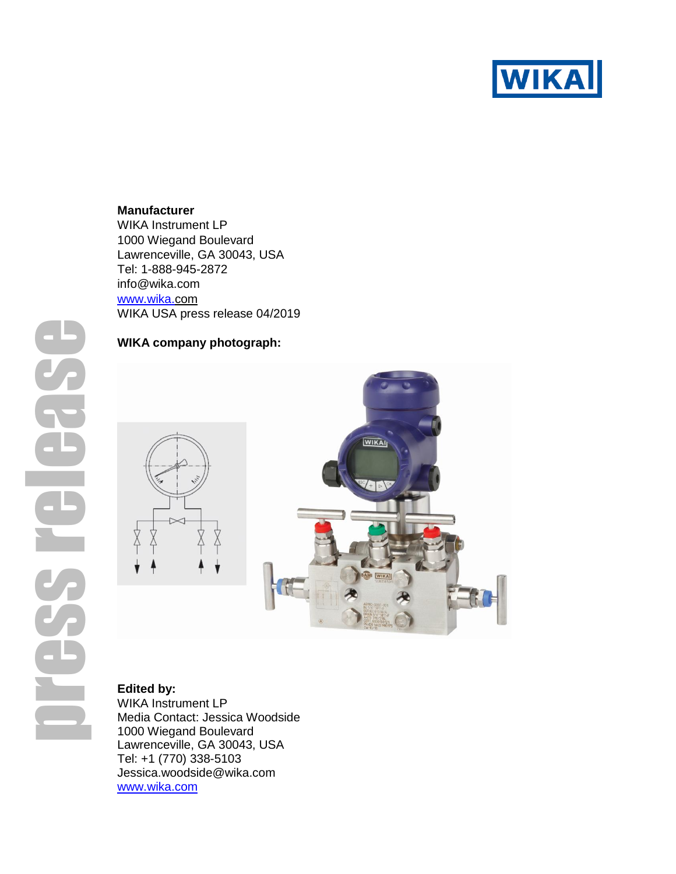

### **Manufacturer**

WIKA Instrument LP 1000 Wiegand Boulevard Lawrenceville, GA 30043, USA Tel: 1-888-945-2872 info@wika.com [www.wika.c](http://www.wika./)om WIKA USA press release 04/2019

# press release

## **WIKA company photograph:**



# **Edited by:**

WIKA Instrument LP Media Contact: Jessica Woodside 1000 Wiegand Boulevard Lawrenceville, GA 30043, USA Tel: +1 (770) 338-5103 Jessica.woodside@wika.com [www.wika.com](http://www.wika.com/)